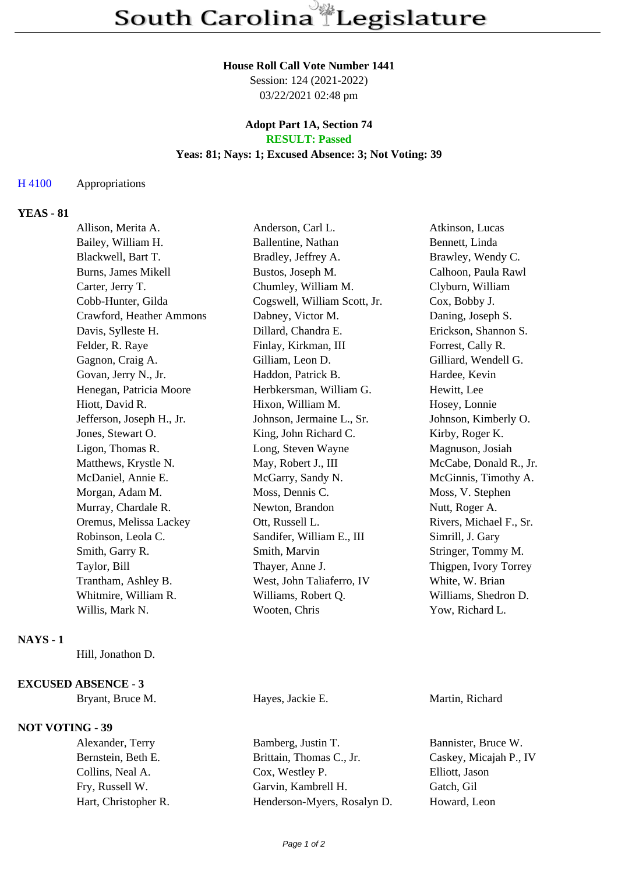### **House Roll Call Vote Number 1441**

Session: 124 (2021-2022) 03/22/2021 02:48 pm

## **Adopt Part 1A, Section 74 RESULT: Passed**

# **Yeas: 81; Nays: 1; Excused Absence: 3; Not Voting: 39**

### H 4100 Appropriations

## **YEAS - 81**

| Allison, Merita A.        | Anderson, Carl L.            | Atkinson, Lucas         |
|---------------------------|------------------------------|-------------------------|
| Bailey, William H.        | Ballentine, Nathan           | Bennett, Linda          |
| Blackwell, Bart T.        | Bradley, Jeffrey A.          | Brawley, Wendy C.       |
| Burns, James Mikell       | Bustos, Joseph M.            | Calhoon, Paula Rawl     |
| Carter, Jerry T.          | Chumley, William M.          | Clyburn, William        |
| Cobb-Hunter, Gilda        | Cogswell, William Scott, Jr. | Cox, Bobby J.           |
| Crawford, Heather Ammons  | Dabney, Victor M.            | Daning, Joseph S.       |
| Davis, Sylleste H.        | Dillard, Chandra E.          | Erickson, Shannon S.    |
| Felder, R. Raye           | Finlay, Kirkman, III         | Forrest, Cally R.       |
| Gagnon, Craig A.          | Gilliam, Leon D.             | Gilliard, Wendell G.    |
| Govan, Jerry N., Jr.      | Haddon, Patrick B.           | Hardee, Kevin           |
| Henegan, Patricia Moore   | Herbkersman, William G.      | Hewitt, Lee             |
| Hiott, David R.           | Hixon, William M.            | Hosey, Lonnie           |
| Jefferson, Joseph H., Jr. | Johnson, Jermaine L., Sr.    | Johnson, Kimberly O.    |
| Jones, Stewart O.         | King, John Richard C.        | Kirby, Roger K.         |
| Ligon, Thomas R.          | Long, Steven Wayne           | Magnuson, Josiah        |
| Matthews, Krystle N.      | May, Robert J., III          | McCabe, Donald R., Jr.  |
| McDaniel, Annie E.        | McGarry, Sandy N.            | McGinnis, Timothy A.    |
| Morgan, Adam M.           | Moss, Dennis C.              | Moss, V. Stephen        |
| Murray, Chardale R.       | Newton, Brandon              | Nutt, Roger A.          |
| Oremus, Melissa Lackey    | Ott, Russell L.              | Rivers, Michael F., Sr. |
| Robinson, Leola C.        | Sandifer, William E., III    | Simrill, J. Gary        |
| Smith, Garry R.           | Smith, Marvin                | Stringer, Tommy M.      |
| Taylor, Bill              | Thayer, Anne J.              | Thigpen, Ivory Torrey   |
| Trantham, Ashley B.       | West, John Taliaferro, IV    | White, W. Brian         |
| Whitmire, William R.      | Williams, Robert Q.          | Williams, Shedron D.    |
| Willis, Mark N.           | Wooten, Chris                | Yow, Richard L.         |
|                           |                              |                         |

# **NAYS - 1**

Hill, Jonathon D.

#### **EXCUSED ABSENCE - 3**

Bryant, Bruce M. Hayes, Jackie E. Martin, Richard

# **NOT VOTING - 39**

Alexander, Terry Bamberg, Justin T. Bannister, Bruce W. Bernstein, Beth E. Brittain, Thomas C., Jr. Caskey, Micajah P., IV Collins, Neal A. Cox, Westley P. Elliott, Jason Fry, Russell W. Garvin, Kambrell H. Gatch, Gil Hart, Christopher R. Henderson-Myers, Rosalyn D. Howard, Leon